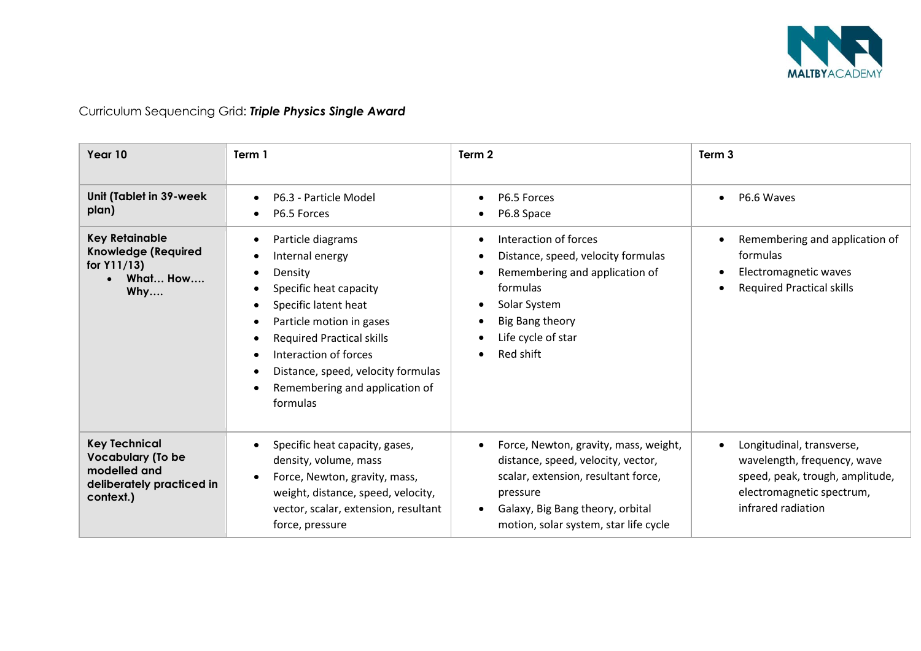

| Year 10                                                                                                    | Term 1                                                                                                                                                                                                                                                                         | Term 2                                                                                                                                                                                                      | Term <sub>3</sub>                                                                                                                              |
|------------------------------------------------------------------------------------------------------------|--------------------------------------------------------------------------------------------------------------------------------------------------------------------------------------------------------------------------------------------------------------------------------|-------------------------------------------------------------------------------------------------------------------------------------------------------------------------------------------------------------|------------------------------------------------------------------------------------------------------------------------------------------------|
| Unit (Tablet in 39-week<br>plan)                                                                           | P6.3 - Particle Model<br>P6.5 Forces                                                                                                                                                                                                                                           | P6.5 Forces<br>P6.8 Space                                                                                                                                                                                   | P6.6 Waves                                                                                                                                     |
| <b>Key Retainable</b><br><b>Knowledge (Required</b><br>for Y11/13)<br>What How<br>Why                      | Particle diagrams<br>Internal energy<br>Density<br>Specific heat capacity<br>Specific latent heat<br>Particle motion in gases<br><b>Required Practical skills</b><br>Interaction of forces<br>Distance, speed, velocity formulas<br>Remembering and application of<br>formulas | Interaction of forces<br>Distance, speed, velocity formulas<br>Remembering and application of<br>formulas<br>Solar System<br>Big Bang theory<br>Life cycle of star<br>Red shift                             | Remembering and application of<br>formulas<br>Electromagnetic waves<br><b>Required Practical skills</b>                                        |
| <b>Key Technical</b><br><b>Vocabulary (To be</b><br>modelled and<br>deliberately practiced in<br>context.) | Specific heat capacity, gases,<br>density, volume, mass<br>Force, Newton, gravity, mass,<br>weight, distance, speed, velocity,<br>vector, scalar, extension, resultant<br>force, pressure                                                                                      | Force, Newton, gravity, mass, weight,<br>distance, speed, velocity, vector,<br>scalar, extension, resultant force,<br>pressure<br>Galaxy, Big Bang theory, orbital<br>motion, solar system, star life cycle | Longitudinal, transverse,<br>wavelength, frequency, wave<br>speed, peak, trough, amplitude,<br>electromagnetic spectrum,<br>infrared radiation |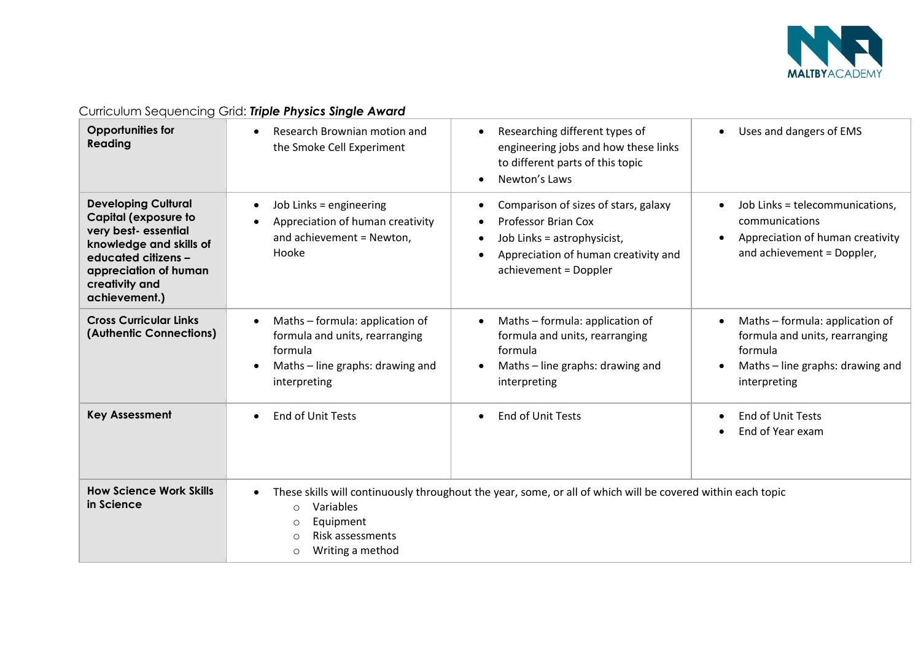

| $\frac{1}{2}$                                                                                                                                                                                  |                                                                                                                                  |                                                                                                                                                                    |                                                                                                                                  |
|------------------------------------------------------------------------------------------------------------------------------------------------------------------------------------------------|----------------------------------------------------------------------------------------------------------------------------------|--------------------------------------------------------------------------------------------------------------------------------------------------------------------|----------------------------------------------------------------------------------------------------------------------------------|
| <b>Opportunities for</b><br>Reading                                                                                                                                                            | Research Brownian motion and<br>the Smoke Cell Experiment                                                                        | Researching different types of<br>$\bullet$<br>engineering jobs and how these links<br>to different parts of this topic<br>Newton's Laws                           | Uses and dangers of EMS                                                                                                          |
| <b>Developing Cultural</b><br><b>Capital (exposure to</b><br>very best-essential<br>knowledge and skills of<br>educated citizens -<br>appreciation of human<br>creativity and<br>achievement.) | Job Links = engineering<br>Appreciation of human creativity<br>and achievement = Newton,<br>Hooke                                | Comparison of sizes of stars, galaxy<br><b>Professor Brian Cox</b><br>Job Links = astrophysicist,<br>Appreciation of human creativity and<br>achievement = Doppler | Job Links = telecommunications,<br>communications<br>Appreciation of human creativity<br>$\bullet$<br>and achievement = Doppler, |
| <b>Cross Curricular Links</b><br>(Authentic Connections)                                                                                                                                       | Maths - formula: application of<br>formula and units, rearranging<br>formula<br>Maths - line graphs: drawing and<br>interpreting | Maths - formula: application of<br>formula and units, rearranging<br>formula<br>Maths - line graphs: drawing and<br>interpreting                                   | Maths - formula: application of<br>formula and units, rearranging<br>formula<br>Maths - line graphs: drawing and<br>interpreting |
| <b>Key Assessment</b>                                                                                                                                                                          | End of Unit Tests<br>$\bullet$                                                                                                   | End of Unit Tests                                                                                                                                                  | End of Unit Tests<br>End of Year exam                                                                                            |
| <b>How Science Work Skills</b><br>in Science                                                                                                                                                   | $\bullet$<br>Variables<br>$\circ$<br>Equipment<br>$\circ$<br>Risk assessments<br>$\circ$<br>Writing a method<br>$\circ$          | These skills will continuously throughout the year, some, or all of which will be covered within each topic                                                        |                                                                                                                                  |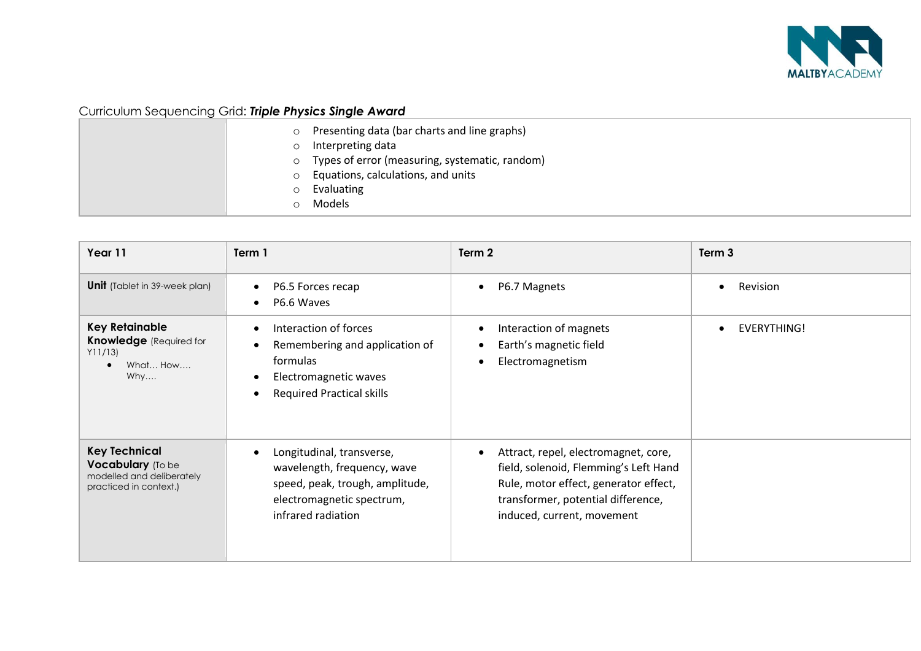

|         | o Presenting data (bar charts and line graphs)                        |
|---------|-----------------------------------------------------------------------|
| $\circ$ | Interpreting data<br>o Types of error (measuring, systematic, random) |
|         | $\circ$ Equations, calculations, and units                            |
| $\circ$ | Evaluating<br>Models                                                  |

| Year 11                                                                                          | Term 1                                                                                                                                         | Term 2                                                                                                                                                                                     | Term 3             |
|--------------------------------------------------------------------------------------------------|------------------------------------------------------------------------------------------------------------------------------------------------|--------------------------------------------------------------------------------------------------------------------------------------------------------------------------------------------|--------------------|
| <b>Unit</b> (Tablet in 39-week plan)                                                             | P6.5 Forces recap<br>P6.6 Waves                                                                                                                | P6.7 Magnets                                                                                                                                                                               | Revision           |
| <b>Key Retainable</b><br><b>Knowledge</b> (Required for<br>Y11/13<br>What How<br>Why             | Interaction of forces<br>Remembering and application of<br>formulas<br>Electromagnetic waves<br><b>Required Practical skills</b>               | Interaction of magnets<br>Earth's magnetic field<br>Electromagnetism                                                                                                                       | <b>EVERYTHING!</b> |
| <b>Key Technical</b><br>Vocabulary (To be<br>modelled and deliberately<br>practiced in context.) | Longitudinal, transverse,<br>wavelength, frequency, wave<br>speed, peak, trough, amplitude,<br>electromagnetic spectrum,<br>infrared radiation | Attract, repel, electromagnet, core,<br>field, solenoid, Flemming's Left Hand<br>Rule, motor effect, generator effect,<br>transformer, potential difference,<br>induced, current, movement |                    |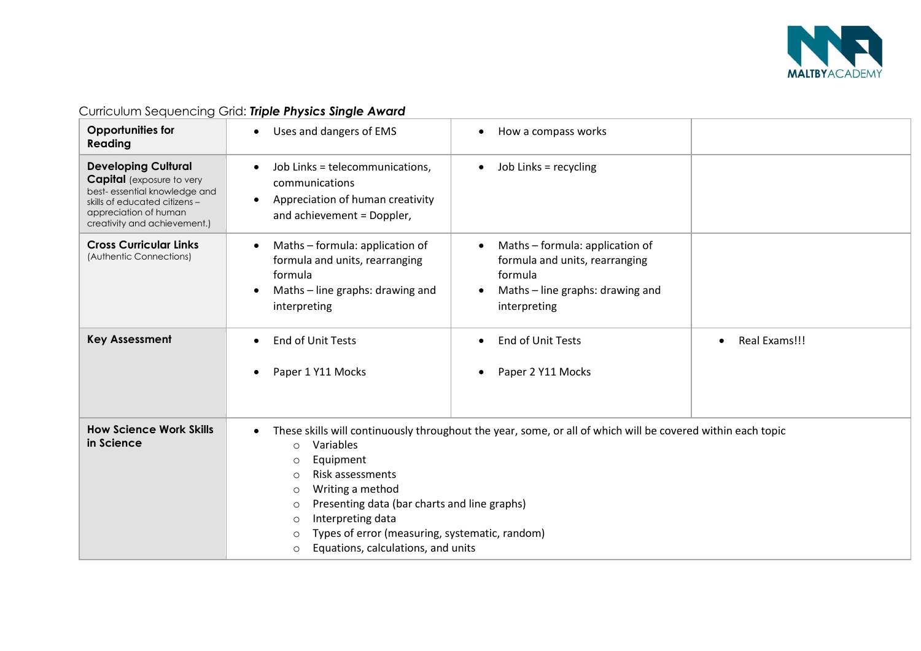

| <b>Opportunities for</b><br>Reading                                                                                                                                                      | Uses and dangers of EMS<br>$\bullet$                                                                                                                                                                                                                                                                                                                                                                                               | How a compass works                                                                                                              |               |
|------------------------------------------------------------------------------------------------------------------------------------------------------------------------------------------|------------------------------------------------------------------------------------------------------------------------------------------------------------------------------------------------------------------------------------------------------------------------------------------------------------------------------------------------------------------------------------------------------------------------------------|----------------------------------------------------------------------------------------------------------------------------------|---------------|
| <b>Developing Cultural</b><br><b>Capital</b> (exposure to very<br>best-essential knowledge and<br>skills of educated citizens -<br>appreciation of human<br>creativity and achievement.) | Job Links = telecommunications,<br>communications<br>Appreciation of human creativity<br>$\bullet$<br>and achievement = Doppler,                                                                                                                                                                                                                                                                                                   | Job Links = recycling                                                                                                            |               |
| <b>Cross Curricular Links</b><br>(Authentic Connections)                                                                                                                                 | Maths - formula: application of<br>formula and units, rearranging<br>formula<br>Maths - line graphs: drawing and<br>interpreting                                                                                                                                                                                                                                                                                                   | Maths - formula: application of<br>formula and units, rearranging<br>formula<br>Maths – line graphs: drawing and<br>interpreting |               |
| <b>Key Assessment</b>                                                                                                                                                                    | <b>End of Unit Tests</b><br>Paper 1 Y11 Mocks                                                                                                                                                                                                                                                                                                                                                                                      | End of Unit Tests<br>Paper 2 Y11 Mocks                                                                                           | Real Exams!!! |
| <b>How Science Work Skills</b><br>in Science                                                                                                                                             | These skills will continuously throughout the year, some, or all of which will be covered within each topic<br>Variables<br>$\circ$<br>Equipment<br>$\circ$<br>Risk assessments<br>$\circ$<br>Writing a method<br>$\circ$<br>Presenting data (bar charts and line graphs)<br>$\circ$<br>Interpreting data<br>$\circ$<br>Types of error (measuring, systematic, random)<br>$\circ$<br>Equations, calculations, and units<br>$\circ$ |                                                                                                                                  |               |